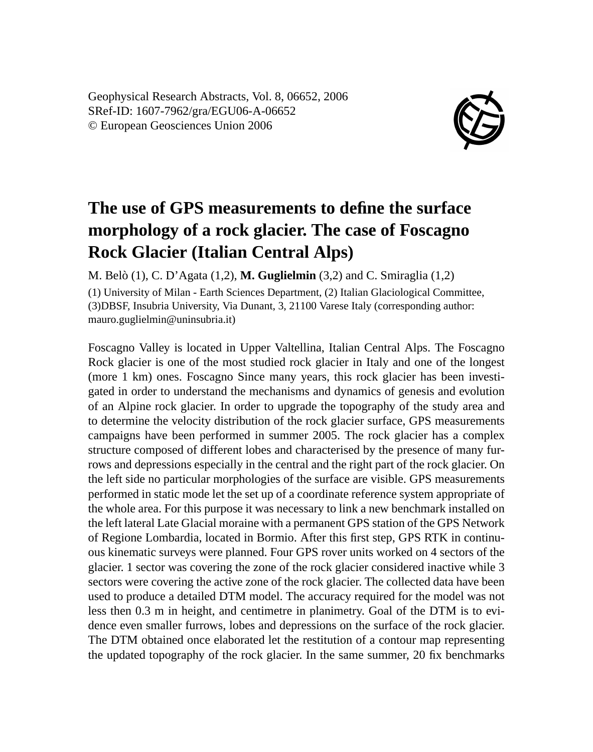Geophysical Research Abstracts, Vol. 8, 06652, 2006 SRef-ID: 1607-7962/gra/EGU06-A-06652 © European Geosciences Union 2006



## **The use of GPS measurements to define the surface morphology of a rock glacier. The case of Foscagno Rock Glacier (Italian Central Alps)**

M. Belò (1), C. D'Agata (1,2), **M. Guglielmin** (3,2) and C. Smiraglia (1,2)

(1) University of Milan - Earth Sciences Department, (2) Italian Glaciological Committee, (3)DBSF, Insubria University, Via Dunant, 3, 21100 Varese Italy (corresponding author: mauro.guglielmin@uninsubria.it)

Foscagno Valley is located in Upper Valtellina, Italian Central Alps. The Foscagno Rock glacier is one of the most studied rock glacier in Italy and one of the longest (more 1 km) ones. Foscagno Since many years, this rock glacier has been investigated in order to understand the mechanisms and dynamics of genesis and evolution of an Alpine rock glacier. In order to upgrade the topography of the study area and to determine the velocity distribution of the rock glacier surface, GPS measurements campaigns have been performed in summer 2005. The rock glacier has a complex structure composed of different lobes and characterised by the presence of many furrows and depressions especially in the central and the right part of the rock glacier. On the left side no particular morphologies of the surface are visible. GPS measurements performed in static mode let the set up of a coordinate reference system appropriate of the whole area. For this purpose it was necessary to link a new benchmark installed on the left lateral Late Glacial moraine with a permanent GPS station of the GPS Network of Regione Lombardia, located in Bormio. After this first step, GPS RTK in continuous kinematic surveys were planned. Four GPS rover units worked on 4 sectors of the glacier. 1 sector was covering the zone of the rock glacier considered inactive while 3 sectors were covering the active zone of the rock glacier. The collected data have been used to produce a detailed DTM model. The accuracy required for the model was not less then 0.3 m in height, and centimetre in planimetry. Goal of the DTM is to evidence even smaller furrows, lobes and depressions on the surface of the rock glacier. The DTM obtained once elaborated let the restitution of a contour map representing the updated topography of the rock glacier. In the same summer, 20 fix benchmarks